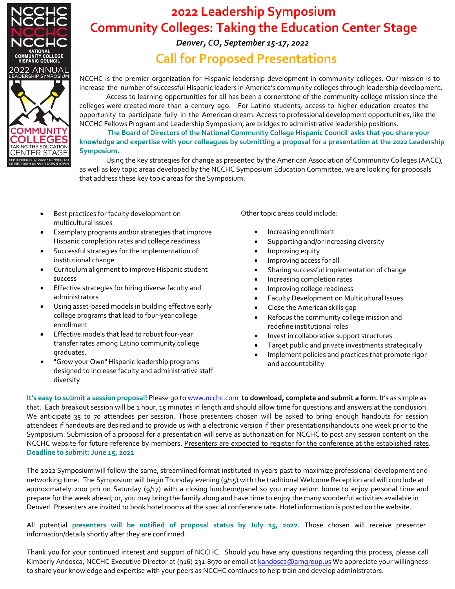

## **2022 Leadership Symposium Community Colleges: Taking the Education Center Stage**

#### *Denver, CO, September 15-17, 2022*

## **Call for Proposed Presentations**

NCCHC is the premier organization for Hispanic leadership development in community colleges. Our mission is to increase the number of successful Hispanic leaders in America's community colleges through leadership development.

Access to learning opportunities for all has been a cornerstone of the community college mission since the colleges were created more than a century ago. For Latino students, access to higher education creates the opportunity to participate fully in the American dream. Access to professional development opportunities, like the NCCHC Fellows Program and Leadership Symposium, are bridges to administrative leadership positions.

 **The Board of Directors of the National Community College Hispanic Council asks that you share your** knowledge and expertise with your colleagues by submitting a proposal for a presentation at the 2022 Leadership **Symposium.**

Using the key strategies for change as presented by the American Association of Community Colleges (AACC), as well as key topic areas developed by the NCCHC Symposium Education Committee, we are looking for proposals that address these key topic areas for the Symposium:

- Best practices for faculty development on multicultural Issues
- Exemplary programs and/or strategies that improve Hispanic completion rates and college readiness
- Successful strategies for the implementation of institutional change
- Curriculum alignment to improve Hispanic student success
- Effective strategies for hiring diverse faculty and administrators
- Using asset‐based models in building effective early college programs that lead to four‐year college enrollment
- Effective models that lead to robust four‐year transfer rates among Latino community college graduates.
- "Grow your Own" Hispanic leadership programs designed to increase faculty and administrative staff diversity

Other topic areas could include:

- Increasing enrollment
- Supporting and/or increasing diversity
- Improving equity
- Improving access for all
- Sharing successful implementation of change
- Increasing completion rates
- Improving college readiness
- Faculty Development on Multicultural Issues
- Close the American skills gap
- Refocus the community college mission and redefine institutional roles
- Invest in collaborative support structures
- Target public and private investments strategically
- Implement policies and practices that promote rigor and accountability

**It's easy to submit a session proposal!** Please go to www.ncchc.com **to download, complete and submit a form.** It's as simple as that. Each breakout session will be 1 hour, 15 minutes in length and should allow time for questions and answers at the conclusion. We anticipate 35 to 70 attendees per session. Those presenters chosen will be asked to bring enough handouts for session attendees if handouts are desired and to provide us with a electronic version if their presentations/handouts one week prior to the Symposium. Submission of a proposal for a presentation will serve as authorization for NCCHC to post any session content on the NCCHC website for future reference by members. Presenters are expected to register for the conference at the established rates. **Deadline to submit: June 15, 2022**

The 2022 Symposium will follow the same, streamlined format instituted in years past to maximize professional development and networking time. The Symposium will begin Thursday evening (9/15) with the traditional Welcome Reception and will conclude at approximately 2:00 pm on Saturday (9/17) with a closing luncheon/panel so you may return home to enjoy personal time and prepare for the week ahead; or, you may bring the family along and have time to enjoy the many wonderful activities available in Denver! Presenters are invited to book hotel rooms at the special conference rate. Hotel information is posted on the website.

All potential **presenters will be notified of proposal status by July 15, 2022.** Those chosen will receive presenter information/details shortly after they are confirmed.

Thank you for your continued interest and support of NCCHC. Should you have any questions regarding this process, please call Kimberly Andosca, NCCHC Executive Director at (916) 231-8970 or email at kandosca@amgroup.us We appreciate your willingness to share your knowledge and expertise with your peers as NCCHC continues to help train and develop administrators.